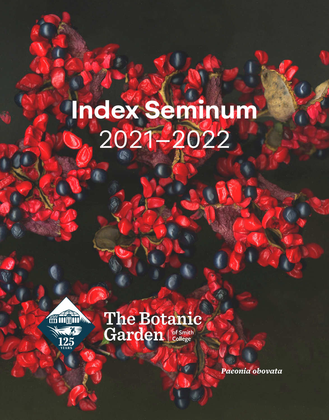# **Index Seminum**  2021–2022



# **The Botanic** Garden | of Smith

*Paeonia obovata*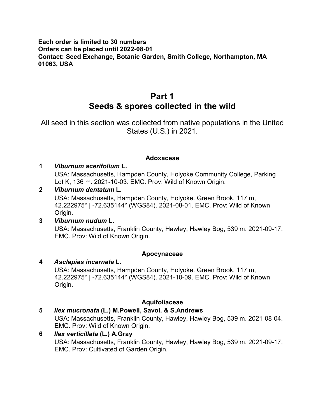#### **Each order is limited to 30 numbers Orders can be placed until 2022-08-01 Contact: Seed Exchange, Botanic Garden, Smith College, Northampton, MA 01063, USA**

# **Part 1 Seeds & spores collected in the wild**

All seed in this section was collected from native populations in the United States (U.S.) in 2021.

#### **Adoxaceae**

#### **1** *Viburnum acerifolium* **L.**

USA: Massachusetts, Hampden County, Holyoke Community College, Parking Lot K, 136 m. 2021-10-03. EMC. Prov: Wild of Known Origin.

#### **2** *Viburnum dentatum* **L.**

USA: Massachusetts, Hampden County, Holyoke. Green Brook, 117 m, 42.222975° | -72.635144° (WGS84). 2021-08-01. EMC. Prov: Wild of Known Origin.

#### **3** *Viburnum nudum* **L.**

USA: Massachusetts, Franklin County, Hawley, Hawley Bog, 539 m. 2021-09-17. EMC. Prov: Wild of Known Origin.

#### **Apocynaceae**

#### **4** *Asclepias incarnata* **L.** USA: Massachusetts, Hampden County, Holyoke. Green Brook, 117 m, 42.222975° | -72.635144° (WGS84). 2021-10-09. EMC. Prov: Wild of Known Origin.

#### **Aquifoliaceae**

#### **5** *Ilex mucronata* **(L.) M.Powell, Savol. & S.Andrews**

USA: Massachusetts, Franklin County, Hawley, Hawley Bog, 539 m. 2021-08-04. EMC. Prov: Wild of Known Origin.

#### **6** *Ilex verticillata* **(L.) A.Gray** USA: Massachusetts, Franklin County, Hawley, Hawley Bog, 539 m. 2021-09-17. EMC. Prov: Cultivated of Garden Origin.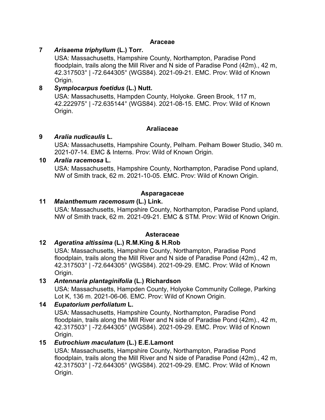#### **Araceae**

#### **7** *Arisaema triphyllum* **(L.) Torr.**

USA: Massachusetts, Hampshire County, Northampton, Paradise Pond floodplain, trails along the Mill River and N side of Paradise Pond (42m)., 42 m, 42.317503° | -72.644305° (WGS84). 2021-09-21. EMC. Prov: Wild of Known Origin.

#### **8** *Symplocarpus foetidus* **(L.) Nutt.**

USA: Massachusetts, Hampden County, Holyoke. Green Brook, 117 m, 42.222975° | -72.635144° (WGS84). 2021-08-15. EMC. Prov: Wild of Known Origin.

#### **Araliaceae**

#### **9** *Aralia nudicaulis* **L.**

USA: Massachusetts, Hampshire County, Pelham. Pelham Bower Studio, 340 m. 2021-07-14. EMC & Interns. Prov: Wild of Known Origin.

#### **10** *Aralia racemosa* **L.**

USA: Massachusetts, Hampshire County, Northampton, Paradise Pond upland, NW of Smith track, 62 m. 2021-10-05. EMC. Prov: Wild of Known Origin.

#### **Asparagaceae**

#### **11** *Maianthemum racemosum* **(L.) Link.**

USA: Massachusetts, Hampshire County, Northampton, Paradise Pond upland, NW of Smith track, 62 m. 2021-09-21. EMC & STM. Prov: Wild of Known Origin.

#### **Asteraceae**

#### **12** *Ageratina altissima* **(L.) R.M.King & H.Rob**

USA: Massachusetts, Hampshire County, Northampton, Paradise Pond floodplain, trails along the Mill River and N side of Paradise Pond (42m)., 42 m, 42.317503° | -72.644305° (WGS84). 2021-09-29. EMC. Prov: Wild of Known Origin.

#### **13** *Antennaria plantaginifolia* **(L.) Richardson**

USA: Massachusetts, Hampden County, Holyoke Community College, Parking Lot K, 136 m. 2021-06-06. EMC. Prov: Wild of Known Origin.

#### **14** *Eupatorium perfoliatum* **L.**

USA: Massachusetts, Hampshire County, Northampton, Paradise Pond floodplain, trails along the Mill River and N side of Paradise Pond (42m)., 42 m, 42.317503° | -72.644305° (WGS84). 2021-09-29. EMC. Prov: Wild of Known Origin.

#### **15** *Eutrochium maculatum* **(L.) E.E.Lamont**

USA: Massachusetts, Hampshire County, Northampton, Paradise Pond floodplain, trails along the Mill River and N side of Paradise Pond (42m)., 42 m, 42.317503° | -72.644305° (WGS84). 2021-09-29. EMC. Prov: Wild of Known Origin.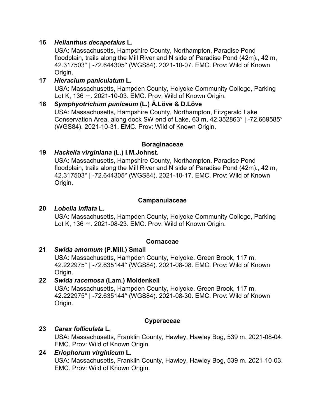#### **16** *Helianthus decapetalus* **L.**

USA: Massachusetts, Hampshire County, Northampton, Paradise Pond floodplain, trails along the Mill River and N side of Paradise Pond (42m)., 42 m, 42.317503° | -72.644305° (WGS84). 2021-10-07. EMC. Prov: Wild of Known Origin.

#### **17** *Hieracium paniculatum* **L.** USA: Massachusetts, Hampden County, Holyoke Community College, Parking Lot K, 136 m. 2021-10-03. EMC. Prov: Wild of Known Origin.

#### **18** *Symphyotrichum puniceum* **(L.) Á.Löve & D.Löve** USA: Massachusetts, Hampshire County, Northampton, Fitzgerald Lake Conservation Area, along dock SW end of Lake, 63 m, 42.352863° | -72.669585° (WGS84). 2021-10-31. EMC. Prov: Wild of Known Origin.

#### **Boraginaceae**

#### **19** *Hackelia virginiana* **(L.) I.M.Johnst.**

USA: Massachusetts, Hampshire County, Northampton, Paradise Pond floodplain, trails along the Mill River and N side of Paradise Pond (42m)., 42 m, 42.317503° | -72.644305° (WGS84). 2021-10-17. EMC. Prov: Wild of Known Origin.

#### **Campanulaceae**

#### **20** *Lobelia inflata* **L.**

USA: Massachusetts, Hampden County, Holyoke Community College, Parking Lot K, 136 m. 2021-08-23. EMC. Prov: Wild of Known Origin.

#### **Cornaceae**

#### **21** *Swida amomum* **(P.Mill.) Small**

USA: Massachusetts, Hampden County, Holyoke. Green Brook, 117 m, 42.222975° | -72.635144° (WGS84). 2021-08-08. EMC. Prov: Wild of Known Origin.

#### **22** *Swida racemosa* **(Lam.) Moldenkell**

USA: Massachusetts, Hampden County, Holyoke. Green Brook, 117 m, 42.222975° | -72.635144° (WGS84). 2021-08-30. EMC. Prov: Wild of Known Origin.

#### **Cyperaceae**

#### **23** *Carex folliculata* **L.**

USA: Massachusetts, Franklin County, Hawley, Hawley Bog, 539 m. 2021-08-04. EMC. Prov: Wild of Known Origin.

#### **24** *Eriophorum virginicum* **L.**

USA: Massachusetts, Franklin County, Hawley, Hawley Bog, 539 m. 2021-10-03. EMC. Prov: Wild of Known Origin.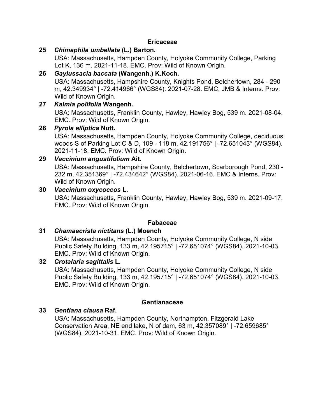#### **Ericaceae**

**25** *Chimaphila umbellata* **(L.) Barton.**

USA: Massachusetts, Hampden County, Holyoke Community College, Parking Lot K, 136 m. 2021-11-18. EMC. Prov: Wild of Known Origin.

#### **26** *Gaylussacia baccata* **(Wangenh.) K.Koch.**

USA: Massachusetts, Hampshire County, Knights Pond, Belchertown, 284 - 290 m, 42.349934° | -72.414966° (WGS84). 2021-07-28. EMC, JMB & Interns. Prov: Wild of Known Origin.

#### **27** *Kalmia polifolia* **Wangenh.**

USA: Massachusetts, Franklin County, Hawley, Hawley Bog, 539 m. 2021-08-04. EMC. Prov: Wild of Known Origin.

#### **28** *Pyrola elliptica* **Nutt.**

USA: Massachusetts, Hampden County, Holyoke Community College, deciduous woods S of Parking Lot C & D, 109 - 118 m, 42.191756° | -72.651043° (WGS84). 2021-11-18. EMC. Prov: Wild of Known Origin.

#### **29** *Vaccinium angustifolium* **Ait.**

USA: Massachusetts, Hampshire County, Belchertown, Scarborough Pond, 230 - 232 m, 42.351369° | -72.434642° (WGS84). 2021-06-16. EMC & Interns. Prov: Wild of Known Origin.

#### **30** *Vaccinium oxycoccos* **L.**

USA: Massachusetts, Franklin County, Hawley, Hawley Bog, 539 m. 2021-09-17. EMC. Prov: Wild of Known Origin.

#### **Fabaceae**

#### **31** *Chamaecrista nictitans* **(L.) Moench**

USA: Massachusetts, Hampden County, Holyoke Community College, N side Public Safety Building, 133 m, 42.195715° | -72.651074° (WGS84). 2021-10-03. EMC. Prov: Wild of Known Origin.

#### **32** *Crotalaria sagittalis* **L.**

USA: Massachusetts, Hampden County, Holyoke Community College, N side Public Safety Building, 133 m, 42.195715° | -72.651074° (WGS84). 2021-10-03. EMC. Prov: Wild of Known Origin.

#### **Gentianaceae**

#### **33** *Gentiana clausa* **Raf.**

USA: Massachusetts, Hampden County, Northampton, Fitzgerald Lake Conservation Area, NE end lake, N of dam, 63 m, 42.357089° | -72.659685° (WGS84). 2021-10-31. EMC. Prov: Wild of Known Origin.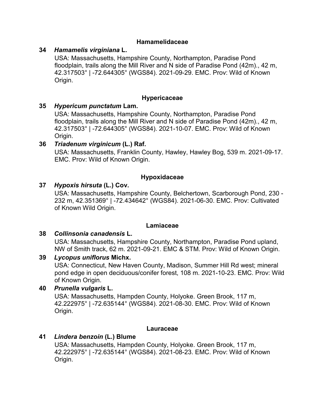#### **Hamamelidaceae**

#### **34** *Hamamelis virginiana* **L.**

USA: Massachusetts, Hampshire County, Northampton, Paradise Pond floodplain, trails along the Mill River and N side of Paradise Pond (42m)., 42 m, 42.317503° | -72.644305° (WGS84). 2021-09-29. EMC. Prov: Wild of Known Origin.

#### **Hypericaceae**

#### **35** *Hypericum punctatum* **Lam.**

USA: Massachusetts, Hampshire County, Northampton, Paradise Pond floodplain, trails along the Mill River and N side of Paradise Pond (42m)., 42 m, 42.317503° | -72.644305° (WGS84). 2021-10-07. EMC. Prov: Wild of Known Origin.

#### **36** *Triadenum virginicum* **(L.) Raf.**

USA: Massachusetts, Franklin County, Hawley, Hawley Bog, 539 m. 2021-09-17. EMC. Prov: Wild of Known Origin.

#### **Hypoxidaceae**

#### **37** *Hypoxis hirsuta* **(L.) Cov.**

USA: Massachusetts, Hampshire County, Belchertown, Scarborough Pond, 230 - 232 m, 42.351369° | -72.434642° (WGS84). 2021-06-30. EMC. Prov: Cultivated of Known Wild Origin.

#### **Lamiaceae**

#### **38** *Collinsonia canadensis* **L.**

USA: Massachusetts, Hampshire County, Northampton, Paradise Pond upland, NW of Smith track, 62 m. 2021-09-21. EMC & STM. Prov: Wild of Known Origin.

#### **39** *Lycopus uniflorus* **Michx.**

USA: Connecticut, New Haven County, Madison, Summer Hill Rd west; mineral pond edge in open deciduous/conifer forest, 108 m. 2021-10-23. EMC. Prov: Wild of Known Origin.

#### **40** *Prunella vulgaris* **L.**

USA: Massachusetts, Hampden County, Holyoke. Green Brook, 117 m, 42.222975° | -72.635144° (WGS84). 2021-08-30. EMC. Prov: Wild of Known Origin.

#### **Lauraceae**

#### **41** *Lindera benzoin* **(L.) Blume**

USA: Massachusetts, Hampden County, Holyoke. Green Brook, 117 m, 42.222975° | -72.635144° (WGS84). 2021-08-23. EMC. Prov: Wild of Known Origin.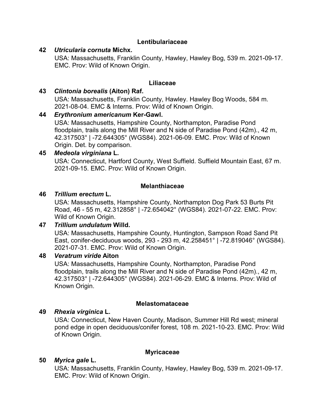#### **Lentibulariaceae**

#### **42** *Utricularia cornuta* **Michx.**

USA: Massachusetts, Franklin County, Hawley, Hawley Bog, 539 m. 2021-09-17. EMC. Prov: Wild of Known Origin.

#### **Liliaceae**

#### **43** *Clintonia borealis* **(Aiton) Raf.**

USA: Massachusetts, Franklin County, Hawley. Hawley Bog Woods, 584 m. 2021-08-04. EMC & Interns. Prov: Wild of Known Origin.

#### **44** *Erythronium americanum* **Ker-Gawl.**

USA: Massachusetts, Hampshire County, Northampton, Paradise Pond floodplain, trails along the Mill River and N side of Paradise Pond (42m)., 42 m, 42.317503° | -72.644305° (WGS84). 2021-06-09. EMC. Prov: Wild of Known Origin. Det. by comparison.

#### **45** *Medeola virginiana* **L.**

USA: Connecticut, Hartford County, West Suffield. Suffield Mountain East, 67 m. 2021-09-15. EMC. Prov: Wild of Known Origin.

#### **Melanthiaceae**

#### **46** *Trillium erectum* **L.**

USA: Massachusetts, Hampshire County, Northampton Dog Park 53 Burts Pit Road, 46 - 55 m, 42.312858° | -72.654042° (WGS84). 2021-07-22. EMC. Prov: Wild of Known Origin.

#### **47** *Trillium undulatum* **Willd.**

USA: Massachusetts, Hampshire County, Huntington, Sampson Road Sand Pit East, conifer-deciduous woods, 293 - 293 m, 42.258451° | -72.819046° (WGS84). 2021-07-31. EMC. Prov: Wild of Known Origin.

#### **48** *Veratrum viride* **Aiton**

USA: Massachusetts, Hampshire County, Northampton, Paradise Pond floodplain, trails along the Mill River and N side of Paradise Pond (42m)., 42 m, 42.317503° | -72.644305° (WGS84). 2021-06-29. EMC & Interns. Prov: Wild of Known Origin.

#### **Melastomataceae**

#### **49** *Rhexia virginica* **L.**

USA: Connecticut, New Haven County, Madison, Summer Hill Rd west; mineral pond edge in open deciduous/conifer forest, 108 m. 2021-10-23. EMC. Prov: Wild of Known Origin.

#### **Myricaceae**

#### **50** *Myrica gale* **L.**

USA: Massachusetts, Franklin County, Hawley, Hawley Bog, 539 m. 2021-09-17. EMC. Prov: Wild of Known Origin.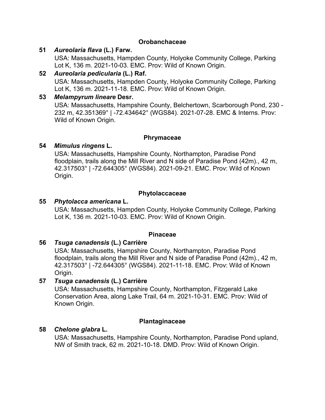#### **Orobanchaceae**

#### **51** *Aureolaria flava* **(L.) Farw.**

USA: Massachusetts, Hampden County, Holyoke Community College, Parking Lot K, 136 m. 2021-10-03. EMC. Prov: Wild of Known Origin.

#### **52** *Aureolaria pedicularia* **(L.) Raf.** USA: Massachusetts, Hampden County, Holyoke Community College, Parking Lot K, 136 m. 2021-11-18. EMC. Prov: Wild of Known Origin.

#### **53** *Melampyrum lineare* **Desr.**

USA: Massachusetts, Hampshire County, Belchertown, Scarborough Pond, 230 - 232 m, 42.351369° | -72.434642° (WGS84). 2021-07-28. EMC & Interns. Prov: Wild of Known Origin.

#### **Phrymaceae**

#### **54** *Mimulus ringens* **L.**

USA: Massachusetts, Hampshire County, Northampton, Paradise Pond floodplain, trails along the Mill River and N side of Paradise Pond (42m)., 42 m, 42.317503° | -72.644305° (WGS84). 2021-09-21. EMC. Prov: Wild of Known Origin.

#### **Phytolaccaceae**

#### **55** *Phytolacca americana* **L.**

USA: Massachusetts, Hampden County, Holyoke Community College, Parking Lot K, 136 m. 2021-10-03. EMC. Prov: Wild of Known Origin.

#### **Pinaceae**

#### **56** *Tsuga canadensis* **(L.) Carrière**

USA: Massachusetts, Hampshire County, Northampton, Paradise Pond floodplain, trails along the Mill River and N side of Paradise Pond (42m)., 42 m, 42.317503° | -72.644305° (WGS84). 2021-11-18. EMC. Prov: Wild of Known Origin.

#### **57** *Tsuga canadensis* **(L.) Carrière**

USA: Massachusetts, Hampshire County, Northampton, Fitzgerald Lake Conservation Area, along Lake Trail, 64 m. 2021-10-31. EMC. Prov: Wild of Known Origin.

#### **Plantaginaceae**

#### **58** *Chelone glabra* **L.**

USA: Massachusetts, Hampshire County, Northampton, Paradise Pond upland, NW of Smith track, 62 m. 2021-10-18. DMD. Prov: Wild of Known Origin.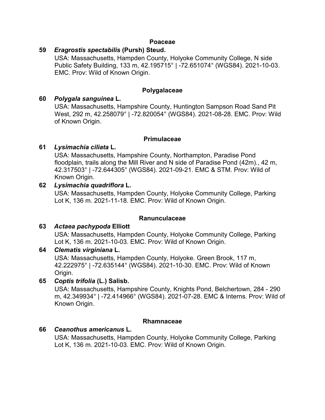#### **Poaceae**

#### **59** *Eragrostis spectabilis* **(Pursh) Steud.**

USA: Massachusetts, Hampden County, Holyoke Community College, N side Public Safety Building, 133 m, 42.195715° | -72.651074° (WGS84). 2021-10-03. EMC. Prov: Wild of Known Origin.

#### **Polygalaceae**

#### **60** *Polygala sanguinea* **L.**

USA: Massachusetts, Hampshire County, Huntington Sampson Road Sand Pit West, 292 m, 42.258079° | -72.820054° (WGS84). 2021-08-28. EMC. Prov: Wild of Known Origin.

#### **Primulaceae**

#### **61** *Lysimachia ciliata* **L.**

USA: Massachusetts, Hampshire County, Northampton, Paradise Pond floodplain, trails along the Mill River and N side of Paradise Pond (42m)., 42 m, 42.317503° | -72.644305° (WGS84). 2021-09-21. EMC & STM. Prov: Wild of Known Origin.

#### **62** *Lysimachia quadriflora* **L.**

USA: Massachusetts, Hampden County, Holyoke Community College, Parking Lot K, 136 m. 2021-11-18. EMC. Prov: Wild of Known Origin.

#### **Ranunculaceae**

#### **63** *Actaea pachypoda* **Elliott**

USA: Massachusetts, Hampden County, Holyoke Community College, Parking Lot K, 136 m. 2021-10-03. EMC. Prov: Wild of Known Origin.

#### **64** *Clematis virginiana* **L.**

USA: Massachusetts, Hampden County, Holyoke. Green Brook, 117 m, 42.222975° | -72.635144° (WGS84). 2021-10-30. EMC. Prov: Wild of Known Origin.

#### **65** *Coptis trifolia* **(L.) Salisb.**

USA: Massachusetts, Hampshire County, Knights Pond, Belchertown, 284 - 290 m, 42.349934° | -72.414966° (WGS84). 2021-07-28. EMC & Interns. Prov: Wild of Known Origin.

#### **Rhamnaceae**

#### **66** *Ceanothus americanus* **L.**

USA: Massachusetts, Hampden County, Holyoke Community College, Parking Lot K, 136 m. 2021-10-03. EMC. Prov: Wild of Known Origin.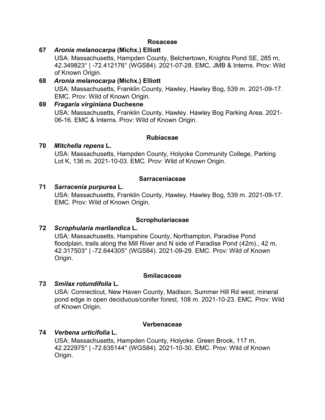#### **Rosaceae**

#### **67** *Aronia melanocarpa* **(Michx.) Elliott**

USA: Massachusetts, Hampden County, Belchertown, Knights Pond SE, 285 m, 42.349823° | -72.412176° (WGS84). 2021-07-28. EMC, JMB & Interns. Prov: Wild of Known Origin.

#### **68** *Aronia melanocarpa* **(Michx.) Elliott** USA: Massachusetts, Franklin County, Hawley, Hawley Bog, 539 m. 2021-09-17. EMC. Prov: Wild of Known Origin.

#### **69** *Fragaria virginiana* **Duchesne** USA: Massachusetts, Franklin County, Hawley. Hawley Bog Parking Area. 2021- 06-16. EMC & Interns. Prov: Wild of Known Origin.

#### **Rubiaceae**

#### **70** *Mitchella repens* **L.**

USA: Massachusetts, Hampden County, Holyoke Community College, Parking Lot K, 136 m. 2021-10-03. EMC. Prov: Wild of Known Origin.

#### **Sarraceniaceae**

#### **71** *Sarracenia purpurea* **L.**

USA: Massachusetts, Franklin County, Hawley, Hawley Bog, 539 m. 2021-09-17. EMC. Prov: Wild of Known Origin.

#### **Scrophulariaceae**

#### **72** *Scrophularia marilandica* **L.**

USA: Massachusetts, Hampshire County, Northampton, Paradise Pond floodplain, trails along the Mill River and N side of Paradise Pond (42m)., 42 m, 42.317503° | -72.644305° (WGS84). 2021-09-29. EMC. Prov: Wild of Known Origin.

#### **Smilacaceae**

#### **73** *Smilax rotundifolia* **L.**

USA: Connecticut, New Haven County, Madison, Summer Hill Rd west; mineral pond edge in open deciduous/conifer forest, 108 m. 2021-10-23. EMC. Prov: Wild of Known Origin.

#### **Verbenaceae**

#### **74** *Verbena urticifolia* **L.**

USA: Massachusetts, Hampden County, Holyoke. Green Brook, 117 m, 42.222975° | -72.635144° (WGS84). 2021-10-30. EMC. Prov: Wild of Known Origin.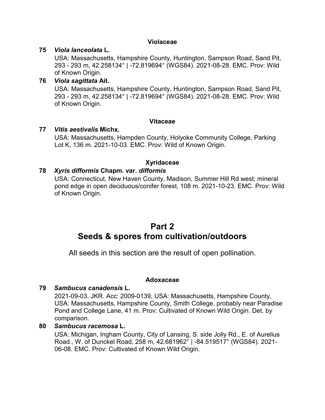#### **Violaceae**

#### **75** *Viola lanceolata* **L.**

USA: Massachusetts, Hampshire County, Huntington, Sampson Road, Sand Pit, 293 - 293 m, 42.258134° | -72.819694° (WGS84). 2021-08-28. EMC. Prov: Wild of Known Origin.

#### **76** *Viola sagittata* **Ait.**

USA: Massachusetts, Hampshire County, Huntington, Sampson Road, Sand Pit, 293 - 293 m, 42.258134° | -72.819694° (WGS84). 2021-08-28. EMC. Prov: Wild of Known Origin.

#### **Vitaceae**

#### **77** *Vitis aestivalis* **Michx.**

USA: Massachusetts, Hampden County, Holyoke Community College, Parking Lot K, 136 m. 2021-10-03. EMC. Prov: Wild of Known Origin.

#### **Xyridaceae**

#### **78** *Xyris difformis* **Chapm. var.** *difformis*

USA: Connecticut, New Haven County, Madison, Summer Hill Rd west; mineral pond edge in open deciduous/conifer forest, 108 m. 2021-10-23. EMC. Prov: Wild of Known Origin.

# **Part 2 Seeds & spores from cultivation/outdoors**

All seeds in this section are the result of open pollination.

#### **Adoxaceae**

#### **79** *Sambucus canadensis* **L.**

2021-09-03. JKR. Acc: 2009-0139, USA: Massachusetts, Hampshire County, USA: Massachusetts, Hampshire County, Smith College, probably near Paradise Pond and College Lane, 41 m. Prov: Cultivated of Known Wild Origin. Det. by comparison.

#### **80** *Sambucus racemosa* **L.**

USA: Michigan, Ingham County, City of Lansing, S. side Jolly Rd., E. of Aurelius Road., W. of Dunckel Road, 258 m, 42.681962° | -84.519517° (WGS84). 2021- 06-08. EMC. Prov: Cultivated of Known Wild Origin.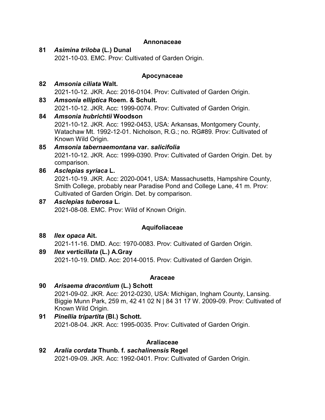#### **Annonaceae**

#### **81** *Asimina triloba* **(L.) Dunal**

2021-10-03. EMC. Prov: Cultivated of Garden Origin.

#### **Apocynaceae**

#### **82** *Amsonia ciliata* **Walt.** 2021-10-12. JKR. Acc: 2016-0104. Prov: Cultivated of Garden Origin.

# **83** *Amsonia elliptica* **Roem. & Schult.**

2021-10-12. JKR. Acc: 1999-0074. Prov: Cultivated of Garden Origin.

# **84** *Amsonia hubrichtii* **Woodson**

2021-10-12. JKR. Acc: 1992-0453, USA: Arkansas, Montgomery County, Watachaw Mt. 1992-12-01. Nicholson, R.G.; no. RG#89. Prov: Cultivated of Known Wild Origin.

#### **85** *Amsonia tabernaemontana* **var.** *salicifolia* 2021-10-12. JKR. Acc: 1999-0390. Prov: Cultivated of Garden Origin. Det. by comparison.

#### **86** *Asclepias syriaca* **L.**

2021-10-19. JKR. Acc: 2020-0041, USA: Massachusetts, Hampshire County, Smith College, probably near Paradise Pond and College Lane, 41 m. Prov: Cultivated of Garden Origin. Det. by comparison.

#### **87** *Asclepias tuberosa* **L.**

2021-08-08. EMC. Prov: Wild of Known Origin.

#### **Aquifoliaceae**

- **88** *Ilex opaca* **Ait.** 2021-11-16. DMD. Acc: 1970-0083. Prov: Cultivated of Garden Origin.
- **89** *Ilex verticillata* **(L.) A.Gray** 2021-10-19. DMD. Acc: 2014-0015. Prov: Cultivated of Garden Origin.

#### **Araceae**

#### **90** *Arisaema dracontium* **(L.) Schott** 2021-09-02. JKR. Acc: 2012-0230, USA: Michigan, Ingham County, Lansing. Biggie Munn Park, 259 m, 42 41 02 N | 84 31 17 W. 2009-09. Prov: Cultivated of Known Wild Origin.

**91** *Pinellia tripartita* **(Bl.) Schott.** 2021-08-04. JKR. Acc: 1995-0035. Prov: Cultivated of Garden Origin.

#### **Araliaceae**

**92** *Aralia cordata* **Thunb. f.** *sachalinensis* **Regel** 2021-09-09. JKR. Acc: 1992-0401. Prov: Cultivated of Garden Origin.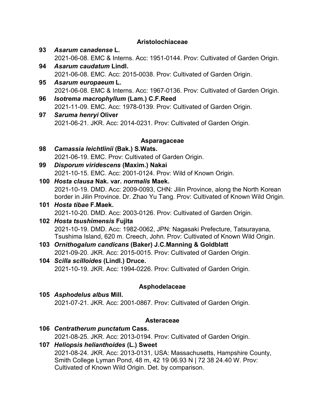#### **Aristolochiaceae**

- **93** *Asarum canadense* **L.** 2021-06-08. EMC & Interns. Acc: 1951-0144. Prov: Cultivated of Garden Origin.
- **94** *Asarum caudatum* **Lindl.** 2021-06-08. EMC. Acc: 2015-0038. Prov: Cultivated of Garden Origin.
- **95** *Asarum europaeum* **L.** 2021-06-08. EMC & Interns. Acc: 1967-0136. Prov: Cultivated of Garden Origin.
- **96** *Isotrema macrophyllum* **(Lam.) C.F.Reed** 2021-11-09. EMC. Acc: 1978-0139. Prov: Cultivated of Garden Origin.
- **97** *Saruma henryi* **Oliver** 2021-06-21. JKR. Acc: 2014-0231. Prov: Cultivated of Garden Origin.

#### **Asparagaceae**

- **98** *Camassia leichtlinii* **(Bak.) S.Wats.** 2021-06-19. EMC. Prov: Cultivated of Garden Origin.
- **99** *Disporum viridescens* **(Maxim.) Nakai** 2021-10-15. EMC. Acc: 2001-0124. Prov: Wild of Known Origin.
- **100** *Hosta clausa* **Nak. var.** *normalis* **Maek.** 2021-10-19. DMD. Acc: 2009-0093, CHN: Jilin Province, along the North Korean border in Jilin Province. Dr. Zhao Yu Tang. Prov: Cultivated of Known Wild Origin.
- **101** *Hosta tibae* **F.Maek.** 2021-10-20. DMD. Acc: 2003-0126. Prov: Cultivated of Garden Origin.

#### **102** *Hosta tsushimensis* **Fujita** 2021-10-19. DMD. Acc: 1982-0062, JPN: Nagasaki Prefecture, Tatsurayana, Tsushima Island, 620 m. Creech, John. Prov: Cultivated of Known Wild Origin.

- **103** *Ornithogalum candicans* **(Baker) J.C.Manning & Goldblatt** 2021-09-20. JKR. Acc: 2015-0015. Prov: Cultivated of Garden Origin.
- **104** *Scilla scilloides* **(Lindl.) Druce.** 2021-10-19. JKR. Acc: 1994-0226. Prov: Cultivated of Garden Origin.

#### **Asphodelaceae**

**105** *Asphodelus albus* **Mill.** 2021-07-21. JKR. Acc: 2001-0867. Prov: Cultivated of Garden Origin.

#### **Asteraceae**

- **106** *Centratherum punctatum* **Cass.** 2021-08-25. JKR. Acc: 2013-0194. Prov: Cultivated of Garden Origin.
- **107** *Heliopsis helianthoides* **(L.) Sweet** 2021-08-24. JKR. Acc: 2013-0131, USA: Massachusetts, Hampshire County, Smith College Lyman Pond, 48 m, 42 19 06.93 N | 72 38 24.40 W. Prov: Cultivated of Known Wild Origin. Det. by comparison.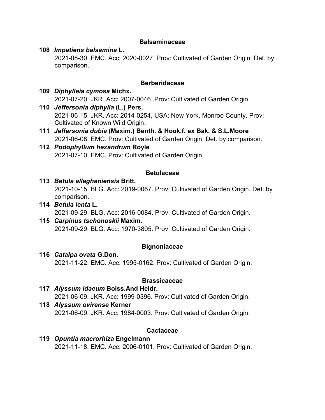#### **Balsaminaceae**

#### **108** *Impatiens balsamina* **L.**

2021-08-30. EMC. Acc: 2020-0027. Prov: Cultivated of Garden Origin. Det. by comparison.

#### **Berberidaceae**

#### **109** *Diphylleia cymosa* **Michx.** 2021-07-20. JKR. Acc: 2007-0046. Prov: Cultivated of Garden Origin.

- **110** *Jeffersonia diphylla* **(L.) Pers.** 2021-06-15. JKR. Acc: 2014-0254, USA: New York, Monroe County. Prov: Cultivated of Known Wild Origin.
- **111** *Jeffersonia dubia* **(Maxim.) Benth. & Hook.f. ex Bak. & S.L.Moore** 2021-06-08. EMC. Prov: Cultivated of Garden Origin. Det. by comparison.

#### **112** *Podophyllum hexandrum* **Royle** 2021-07-10. EMC. Prov: Cultivated of Garden Origin.

#### **Betulaceae**

- **113** *Betula alleghaniensis* **Britt.** 2021-10-15. BLG. Acc: 2019-0067. Prov: Cultivated of Garden Origin. Det. by comparison.
- **114** *Betula lenta* **L.** 2021-09-29. BLG. Acc: 2016-0084. Prov: Cultivated of Garden Origin.
- **115** *Carpinus tschonoskii* **Maxim.** 2021-09-29. BLG. Acc: 1970-3805. Prov: Cultivated of Garden Origin.

#### **Bignoniaceae**

#### **116** *Catalpa ovata* **G.Don.** 2021-11-22. EMC. Acc: 1995-0162. Prov: Cultivated of Garden Origin.

#### **Brassicaceae**

- **117** *Alyssum idaeum* **Boiss.And Heldr.** 2021-06-09. JKR. Acc: 1999-0396. Prov: Cultivated of Garden Origin. **118** *Alyssum ovirense* **Kerner**
- 2021-06-09. JKR. Acc: 1984-0003. Prov: Cultivated of Garden Origin.

#### **Cactaceae**

**119** *Opuntia macrorhiza* **Engelmann** 2021-11-18. EMC. Acc: 2006-0101. Prov: Cultivated of Garden Origin.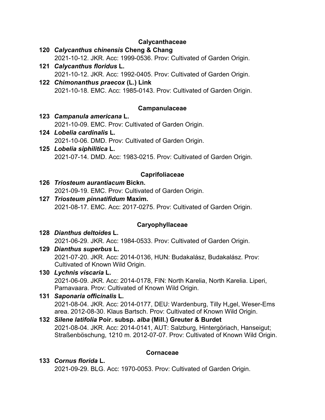#### **Calycanthaceae**

- **120** *Calycanthus chinensis* **Cheng & Chang** 2021-10-12. JKR. Acc: 1999-0536. Prov: Cultivated of Garden Origin.
- **121** *Calycanthus floridus* **L.** 2021-10-12. JKR. Acc: 1992-0405. Prov: Cultivated of Garden Origin.
- **122** *Chimonanthus praecox* **(L.) Link** 2021-10-18. EMC. Acc: 1985-0143. Prov: Cultivated of Garden Origin.

#### **Campanulaceae**

- **123** *Campanula americana* **L.** 2021-10-09. EMC. Prov: Cultivated of Garden Origin.
- **124** *Lobelia cardinalis* **L.** 2021-10-06. DMD. Prov: Cultivated of Garden Origin.
- **125** *Lobelia siphilitica* **L.** 2021-07-14. DMD. Acc: 1983-0215. Prov: Cultivated of Garden Origin.

#### **Caprifoliaceae**

- **126** *Triosteum aurantiacum* **Bickn.** 2021-09-19. EMC. Prov: Cultivated of Garden Origin.
- **127** *Triosteum pinnatifidum* **Maxim.** 2021-08-17. EMC. Acc: 2017-0275. Prov: Cultivated of Garden Origin.

#### **Caryophyllaceae**

- **128** *Dianthus deltoides* **L.** 2021-06-29. JKR. Acc: 1984-0533. Prov: Cultivated of Garden Origin.
- **129** *Dianthus superbus* **L.** 2021-07-20. JKR. Acc: 2014-0136, HUN: Budakalász, Budakalász. Prov: Cultivated of Known Wild Origin.
- **130** *Lychnis viscaria* **L.** 2021-06-09. JKR. Acc: 2014-0178, FIN: North Karelia, North Karelia. Liperi, Parnavaara. Prov: Cultivated of Known Wild Origin.
- **131** *Saponaria officinalis* **L.** 2021-08-04. JKR. Acc: 2014-0177, DEU: Wardenburg, Tilly H<sub>"gel</sub>, Weser-Ems area. 2012-08-30. Klaus Bartsch. Prov: Cultivated of Known Wild Origin.

#### **132** *Silene latifolia* **Poir. subsp.** *alba* **(Mill.) Greuter & Burdet** 2021-08-04. JKR. Acc: 2014-0141, AUT: Salzburg, Hintergöriach, Hanseigut; Straßenböschung, 1210 m. 2012-07-07. Prov: Cultivated of Known Wild Origin.

#### **Cornaceae**

# **133** *Cornus florida* **L.**

2021-09-29. BLG. Acc: 1970-0053. Prov: Cultivated of Garden Origin.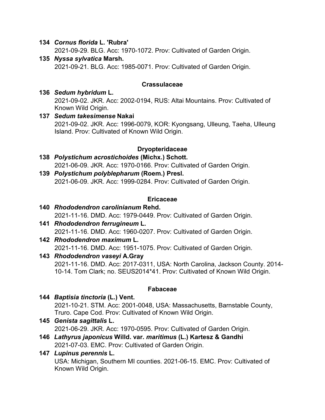#### **134** *Cornus florida* **L. 'Rubra'**

2021-09-29. BLG. Acc: 1970-1072. Prov: Cultivated of Garden Origin.

**135** *Nyssa sylvatica* **Marsh.** 2021-09-21. BLG. Acc: 1985-0071. Prov: Cultivated of Garden Origin.

#### **Crassulaceae**

- **136** *Sedum hybridum* **L.** 2021-09-02. JKR. Acc: 2002-0194, RUS: Altai Mountains. Prov: Cultivated of Known Wild Origin.
- **137** *Sedum takesimense* **Nakai** 2021-09-02. JKR. Acc: 1996-0079, KOR: Kyongsang, Ulleung, Taeha, Ulleung Island. Prov: Cultivated of Known Wild Origin.

#### **Dryopteridaceae**

- **138** *Polystichum acrostichoides* **(Michx.) Schott.** 2021-06-09. JKR. Acc: 1970-0166. Prov: Cultivated of Garden Origin.
- **139** *Polystichum polyblepharum* **(Roem.) Presl.** 2021-06-09. JKR. Acc: 1999-0284. Prov: Cultivated of Garden Origin.

#### **Ericaceae**

- **140** *Rhododendron carolinianum* **Rehd.** 2021-11-16. DMD. Acc: 1979-0449. Prov: Cultivated of Garden Origin.
- **141** *Rhododendron ferrugineum* **L.** 2021-11-16. DMD. Acc: 1960-0207. Prov: Cultivated of Garden Origin.
- **142** *Rhododendron maximum* **L.** 2021-11-16. DMD. Acc: 1951-1075. Prov: Cultivated of Garden Origin.
- **143** *Rhododendron vaseyi* **A.Gray** 2021-11-16. DMD. Acc: 2017-0311, USA: North Carolina, Jackson County. 2014- 10-14. Tom Clark; no. SEUS2014\*41. Prov: Cultivated of Known Wild Origin.

#### **Fabaceae**

- **144** *Baptisia tinctoria* **(L.) Vent.** 2021-10-21. STM. Acc: 2001-0048, USA: Massachusetts, Barnstable County, Truro. Cape Cod. Prov: Cultivated of Known Wild Origin.
- **145** *Genista sagittalis* **L.** 2021-06-29. JKR. Acc: 1970-0595. Prov: Cultivated of Garden Origin.
- **146** *Lathyrus japonicus* **Willd. var.** *maritimus* **(L.) Kartesz & Gandhi** 2021-07-03. EMC. Prov: Cultivated of Garden Origin.

#### **147** *Lupinus perennis* **L.**

USA: Michigan, Southern MI counties. 2021-06-15. EMC. Prov: Cultivated of Known Wild Origin.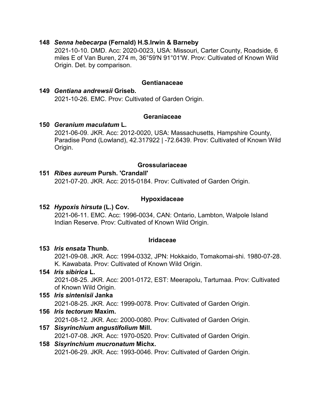#### **148** *Senna hebecarpa* **(Fernald) H.S.Irwin & Barneby**

2021-10-10. DMD. Acc: 2020-0023, USA: Missouri, Carter County, Roadside, 6 miles E of Van Buren, 274 m, 36°59'N 91°01'W. Prov: Cultivated of Known Wild Origin. Det. by comparison.

#### **Gentianaceae**

**149** *Gentiana andrewsii* **Griseb.** 2021-10-26. EMC. Prov: Cultivated of Garden Origin.

#### **Geraniaceae**

#### **150** *Geranium maculatum* **L.**

2021-06-09. JKR. Acc: 2012-0020, USA: Massachusetts, Hampshire County, Paradise Pond (Lowland), 42.317922 | -72.6439. Prov: Cultivated of Known Wild Origin.

#### **Grossulariaceae**

#### **151** *Ribes aureum* **Pursh. 'Crandall'**

2021-07-20. JKR. Acc: 2015-0184. Prov: Cultivated of Garden Origin.

#### **Hypoxidaceae**

#### **152** *Hypoxis hirsuta* **(L.) Cov.**

2021-06-11. EMC. Acc: 1996-0034, CAN: Ontario, Lambton, Walpole Island Indian Reserve. Prov: Cultivated of Known Wild Origin.

#### **Iridaceae**

#### **153** *Iris ensata* **Thunb.**

2021-09-08. JKR. Acc: 1994-0332, JPN: Hokkaido, Tomakomai-shi. 1980-07-28. K. Kawabata. Prov: Cultivated of Known Wild Origin.

#### **154** *Iris sibirica* **L.**

2021-08-25. JKR. Acc: 2001-0172, EST: Meerapolu, Tartumaa. Prov: Cultivated of Known Wild Origin.

#### **155** *Iris sintenisii* **Janka**

2021-08-25. JKR. Acc: 1999-0078. Prov: Cultivated of Garden Origin.

#### **156** *Iris tectorum* **Maxim.**

2021-08-12. JKR. Acc: 2000-0080. Prov: Cultivated of Garden Origin.

#### **157** *Sisyrinchium angustifolium* **Mill.**

2021-07-08. JKR. Acc: 1970-0520. Prov: Cultivated of Garden Origin.

#### **158** *Sisyrinchium mucronatum* **Michx.**

2021-06-29. JKR. Acc: 1993-0046. Prov: Cultivated of Garden Origin.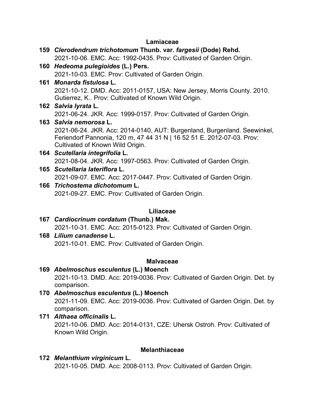#### **Lamiaceae**

| 159 Clerodendrum trichotomum Thunb. var. fargesii (Dode) Rehd.                                                                                                                         |
|----------------------------------------------------------------------------------------------------------------------------------------------------------------------------------------|
| 2021-10-06. EMC. Acc: 1992-0435. Prov: Cultivated of Garden Origin.                                                                                                                    |
| 160 Hedeoma pulegioides (L.) Pers.                                                                                                                                                     |
| 2021-10-03. EMC. Prov: Cultivated of Garden Origin.                                                                                                                                    |
| 161 Monarda fistulosa L.                                                                                                                                                               |
| 2021-10-12. DMD. Acc: 2011-0157, USA: New Jersey, Morris County. 2010.<br>Gutierrez, K Prov: Cultivated of Known Wild Origin.                                                          |
| 162 Salvia Iyrata L.                                                                                                                                                                   |
| 2021-06-24. JKR. Acc: 1999-0157. Prov: Cultivated of Garden Origin.                                                                                                                    |
| 163 Salvia nemorosa L.                                                                                                                                                                 |
| 2021-06-24. JKR. Acc: 2014-0140, AUT: Burgenland, Burgenland. Seewinkel,<br>Feriendorf Pannonia, 120 m, 47 44 31 N   16 52 51 E. 2012-07-03. Prov:<br>Cultivated of Known Wild Origin. |
| 164 Scutellaria integrifolia L.                                                                                                                                                        |
| 2021-08-04. JKR. Acc: 1997-0563. Prov: Cultivated of Garden Origin.                                                                                                                    |
| 165 Scutellaria lateriflora L.                                                                                                                                                         |
| 2021-09-07. EMC. Acc: 2017-0447. Prov: Cultivated of Garden Origin.                                                                                                                    |
| 166 Trichostema dichotomum L.                                                                                                                                                          |
| 2021-09-27. EMC. Prov: Cultivated of Garden Origin.                                                                                                                                    |
| .iliaceae                                                                                                                                                                              |
|                                                                                                                                                                                        |

- **167** *Cardiocrinum cordatum* **(Thunb.) Mak.** 2021-10-31. EMC. Acc: 2015-0123. Prov: Cultivated of Garden Origin.
- **168** *Lilium canadense* **L.** 2021-10-01. EMC. Prov: Cultivated of Garden Origin.

#### **Malvaceae**

- **169** *Abelmoschus esculentus* **(L.) Moench** 2021-10-13. DMD. Acc: 2019-0036. Prov: Cultivated of Garden Origin. Det. by comparison.
- **170** *Abelmoschus esculentus* **(L.) Moench** 2021-11-09. EMC. Acc: 2019-0036. Prov: Cultivated of Garden Origin. Det. by comparison.
- **171** *Althaea officinalis* **L.** 2021-10-06. DMD. Acc: 2014-0131, CZE: Uhersk Ostroh. Prov: Cultivated of Known Wild Origin.

#### **Melanthiaceae**

**172** *Melanthium virginicum* **L.** 2021-10-05. DMD. Acc: 2008-0113. Prov: Cultivated of Garden Origin.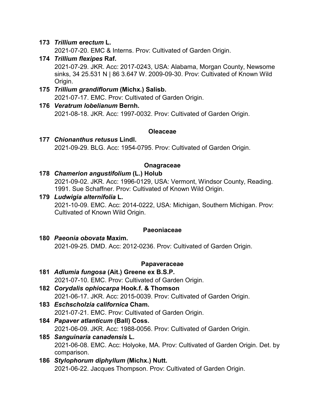#### **173** *Trillium erectum* **L.**

2021-07-20. EMC & Interns. Prov: Cultivated of Garden Origin.

- **174** *Trillium flexipes* **Raf.** 2021-07-29. JKR. Acc: 2017-0243, USA: Alabama, Morgan County, Newsome sinks, 34 25.531 N | 86 3.647 W. 2009-09-30. Prov: Cultivated of Known Wild Origin.
- **175** *Trillium grandiflorum* **(Michx.) Salisb.** 2021-07-17. EMC. Prov: Cultivated of Garden Origin.
- **176** *Veratrum lobelianum* **Bernh.** 2021-08-18. JKR. Acc: 1997-0032. Prov: Cultivated of Garden Origin.

#### **Oleaceae**

**177** *Chionanthus retusus* **Lindl.** 2021-09-29. BLG. Acc: 1954-0795. Prov: Cultivated of Garden Origin.

#### **Onagraceae**

**178** *Chamerion angustifolium* **(L.) Holub**

2021-09-02. JKR. Acc: 1996-0129, USA: Vermont, Windsor County, Reading. 1991. Sue Schaffner. Prov: Cultivated of Known Wild Origin.

**179** *Ludwigia alternifolia* **L.** 2021-10-09. EMC. Acc: 2014-0222, USA: Michigan, Southern Michigan. Prov: Cultivated of Known Wild Origin.

#### **Paeoniaceae**

**180** *Paeonia obovata* **Maxim.** 2021-09-25. DMD. Acc: 2012-0236. Prov: Cultivated of Garden Origin.

#### **Papaveraceae**

- **181** *Adlumia fungosa* **(Ait.) Greene ex B.S.P.** 2021-07-10. EMC. Prov: Cultivated of Garden Origin. **182** *Corydalis ophiocarpa* **Hook.f. & Thomson** 2021-06-17. JKR. Acc: 2015-0039. Prov: Cultivated of Garden Origin. **183** *Eschscholzia californica* **Cham.** 2021-07-21. EMC. Prov: Cultivated of Garden Origin. **184** *Papaver atlanticum* **(Ball) Coss.** 2021-06-09. JKR. Acc: 1988-0056. Prov: Cultivated of Garden Origin. **185** *Sanguinaria canadensis* **L.** 2021-06-08. EMC. Acc: Holyoke, MA. Prov: Cultivated of Garden Origin. Det. by comparison.
- **186** *Stylophorum diphyllum* **(Michx.) Nutt.** 2021-06-22. Jacques Thompson. Prov: Cultivated of Garden Origin.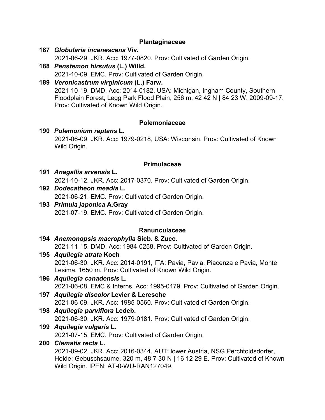#### **Plantaginaceae**

- **187** *Globularia incanescens* **Viv.** 2021-06-29. JKR. Acc: 1977-0820. Prov: Cultivated of Garden Origin.
- **188** *Penstemon hirsutus* **(L.) Willd.** 2021-10-09. EMC. Prov: Cultivated of Garden Origin.
- **189** *Veronicastrum virginicum* **(L.) Farw.** 2021-10-19. DMD. Acc: 2014-0182, USA: Michigan, Ingham County, Southern Floodplain Forest, Legg Park Flood Plain, 256 m, 42 42 N | 84 23 W. 2009-09-17. Prov: Cultivated of Known Wild Origin.

#### **Polemoniaceae**

**190** *Polemonium reptans* **L.** 2021-06-09. JKR. Acc: 1979-0218, USA: Wisconsin. Prov: Cultivated of Known Wild Origin.

#### **Primulaceae**

**191** *Anagallis arvensis* **L.**

2021-10-12. JKR. Acc: 2017-0370. Prov: Cultivated of Garden Origin.

- **192** *Dodecatheon meadia* **L.** 2021-06-21. EMC. Prov: Cultivated of Garden Origin.
- **193** *Primula japonica* **A.Gray** 2021-07-19. EMC. Prov: Cultivated of Garden Origin.

#### **Ranunculaceae**

- **194** *Anemonopsis macrophylla* **Sieb. & Zucc.** 2021-11-15. DMD. Acc: 1984-0258. Prov: Cultivated of Garden Origin.
- **195** *Aquilegia atrata* **Koch**

2021-06-30. JKR. Acc: 2014-0191, ITA: Pavia, Pavia. Piacenza e Pavia, Monte Lesima, 1650 m. Prov: Cultivated of Known Wild Origin.

- **196** *Aquilegia canadensis* **L.** 2021-06-08. EMC & Interns. Acc: 1995-0479. Prov: Cultivated of Garden Origin.
- **197** *Aquilegia discolor* **Levier & Leresche** 2021-06-09. JKR. Acc: 1985-0560. Prov: Cultivated of Garden Origin.
- **198** *Aquilegia parviflora* **Ledeb.** 2021-06-30. JKR. Acc: 1979-0181. Prov: Cultivated of Garden Origin.
- **199** *Aquilegia vulgaris* **L.**

2021-07-15. EMC. Prov: Cultivated of Garden Origin.

#### **200** *Clematis recta* **L.**

2021-09-02. JKR. Acc: 2016-0344, AUT: lower Austria, NSG Perchtoldsdorfer, Heide; Gebuschsaume, 320 m, 48 7 30 N | 16 12 29 E. Prov: Cultivated of Known Wild Origin. IPEN: AT-0-WU-RAN127049.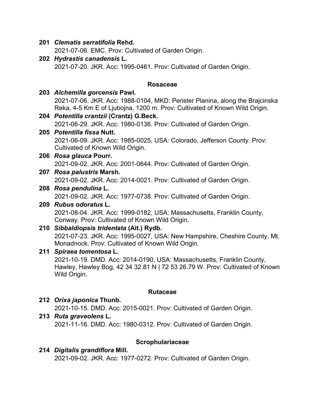#### **201** *Clematis serratifolia* **Rehd.**

2021-07-06. EMC. Prov: Cultivated of Garden Origin.

**202** *Hydrastis canadensis* **L.** 2021-07-20. JKR. Acc: 1995-0461. Prov: Cultivated of Garden Origin.

#### **Rosaceae**

- **203** *Alchemilla gorcensis* **Pawl.** 2021-07-06. JKR. Acc: 1988-0104, MKD: Perister Planina, along the Brajcinska Reka, 4-5 Km E of Ljubojna, 1200 m. Prov: Cultivated of Known Wild Origin. **204** *Potentilla crantzii* **(Crantz) G.Beck.** 2021-06-29. JKR. Acc: 1980-0136. Prov: Cultivated of Garden Origin. **205** *Potentilla fissa* **Nutt.** 2021-06-09. JKR. Acc: 1985-0025, USA: Colorado, Jefferson County. Prov: Cultivated of Known Wild Origin. **206** *Rosa glauca* **Pourr.** 2021-09-02. JKR. Acc: 2001-0644. Prov: Cultivated of Garden Origin.
- **207** *Rosa palustris* **Marsh.** 2021-09-02. JKR. Acc: 2014-0021. Prov: Cultivated of Garden Origin.

#### **208** *Rosa pendulina* **L.**

2021-09-02. JKR. Acc: 1977-0738. Prov: Cultivated of Garden Origin.

#### **209** *Rubus odoratus* **L.**

2021-08-04. JKR. Acc: 1999-0182, USA: Massachusetts, Franklin County, Conway. Prov: Cultivated of Known Wild Origin.

- **210** *Sibbaldiopsis tridentata* **(Ait.) Rydb.** 2021-07-23. JKR. Acc: 1995-0027, USA: New Hampshire, Cheshire County, Mt. Monadnock. Prov: Cultivated of Known Wild Origin.
- **211** *Spiraea tomentosa* **L.** 2021-10-19. DMD. Acc: 2014-0190, USA: Massachusetts, Franklin County, Hawley, Hawley Bog, 42 34 32.81 N | 72 53 26.79 W. Prov: Cultivated of Known Wild Origin.

#### **Rutaceae**

- **212** *Orixa japonica* **Thunb.** 2021-10-15. DMD. Acc: 2015-0021. Prov: Cultivated of Garden Origin. **213** *Ruta graveolens* **L.**
	- 2021-11-16. DMD. Acc: 1980-0312. Prov: Cultivated of Garden Origin.

#### **Scrophulariaceae**

**214** *Digitalis grandiflora* **Mill.** 2021-09-02. JKR. Acc: 1977-0272. Prov: Cultivated of Garden Origin.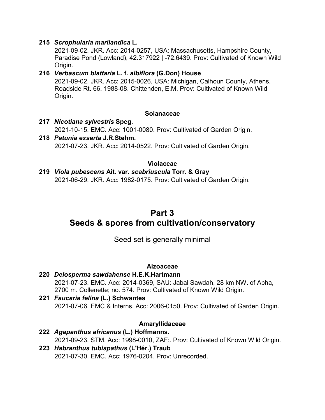#### **215** *Scrophularia marilandica* **L.**

2021-09-02. JKR. Acc: 2014-0257, USA: Massachusetts, Hampshire County, Paradise Pond (Lowland), 42.317922 | -72.6439. Prov: Cultivated of Known Wild Origin.

#### **216** *Verbascum blattaria* **L. f.** *albiflora* **(G.Don) House** 2021-09-02. JKR. Acc: 2015-0026, USA: Michigan, Calhoun County, Athens. Roadside Rt. 66. 1988-08. Chittenden, E.M. Prov: Cultivated of Known Wild Origin.

#### **Solanaceae**

- **217** *Nicotiana sylvestris* **Speg.** 2021-10-15. EMC. Acc: 1001-0080. Prov: Cultivated of Garden Origin. **218** *Petunia exserta* **J.R.Stehm.**
	- 2021-07-23. JKR. Acc: 2014-0522. Prov: Cultivated of Garden Origin.

#### **Violaceae**

**219** *Viola pubescens* **Ait. var.** *scabriuscula* **Torr. & Gray** 2021-06-29. JKR. Acc: 1982-0175. Prov: Cultivated of Garden Origin.

## **Part 3**

# **Seeds & spores from cultivation/conservatory**

#### Seed set is generally minimal

#### **Aizoaceae**

- **220** *Delosperma sawdahense* **H.E.K.Hartmann** 2021-07-23. EMC. Acc: 2014-0369, SAU: Jabal Sawdah, 28 km NW. of Abha, 2700 m. Collenette; no. 574. Prov: Cultivated of Known Wild Origin.
- **221** *Faucaria felina* **(L.) Schwantes** 2021-07-06. EMC & Interns. Acc: 2006-0150. Prov: Cultivated of Garden Origin.

#### **Amaryllidaceae**

**222** *Agapanthus africanus* **(L.) Hoffmanns.** 2021-09-23. STM. Acc: 1998-0010, ZAF:. Prov: Cultivated of Known Wild Origin. **223** *Habranthus tubispathus* **(L'Hér.) Traub** 2021-07-30. EMC. Acc: 1976-0204. Prov: Unrecorded.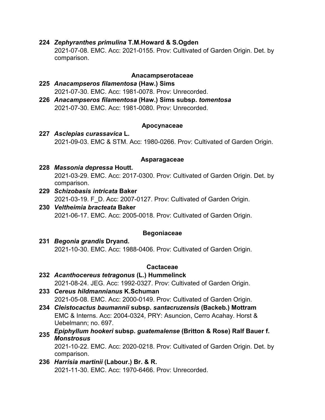# **224** *Zephyranthes primulina* **T.M.Howard & S.Ogden**

2021-07-08. EMC. Acc: 2021-0155. Prov: Cultivated of Garden Origin. Det. by comparison.

#### **Anacampserotaceae**

#### **225** *Anacampseros filamentosa* **(Haw.) Sims** 2021-07-30. EMC. Acc: 1981-0078. Prov: Unrecorded.

**226** *Anacampseros filamentosa* **(Haw.) Sims subsp.** *tomentosa* 2021-07-30. EMC. Acc: 1981-0080. Prov: Unrecorded.

#### **Apocynaceae**

#### **227** *Asclepias curassavica* **L.** 2021-09-03. EMC & STM. Acc: 1980-0266. Prov: Cultivated of Garden Origin.

#### **Asparagaceae**

#### **228** *Massonia depressa* **Houtt.** 2021-03-29. EMC. Acc: 2017-0300. Prov: Cultivated of Garden Origin. Det. by comparison.

**229** *Schizobasis intricata* **Baker** 2021-03-19. F\_D. Acc: 2007-0127. Prov: Cultivated of Garden Origin.

#### **230** *Veltheimia bracteata* **Baker** 2021-06-17. EMC. Acc: 2005-0018. Prov: Cultivated of Garden Origin.

#### **Begoniaceae**

**231** *Begonia grandis* **Dryand.** 2021-10-30. EMC. Acc: 1988-0406. Prov: Cultivated of Garden Origin.

#### **Cactaceae**

- **232** *Acanthocereus tetragonus* **(L.) Hummelinck** 2021-08-24. JEG. Acc: 1992-0327. Prov: Cultivated of Garden Origin.
- **233** *Cereus hildmannianus* **K.Schuman** 2021-05-08. EMC. Acc: 2000-0149. Prov: Cultivated of Garden Origin.
- **234** *Cleistocactus baumannii* **subsp.** *santacruzensis* **(Backeb.) Mottram** EMC & Interns. Acc: 2004-0324, PRY: Asuncion, Cerro Acahay. Horst & Uebelmann; no. 697.

# **<sup>235</sup>** *Epiphyllum hookeri* **subsp.** *guatemalense* **(Britton & Rose) Ralf Bauer f.**  *Monstrosus*

2021-10-22. EMC. Acc: 2020-0218. Prov: Cultivated of Garden Origin. Det. by comparison.

**236** *Harrisia martinii* **(Labour.) Br. & R.** 2021-11-30. EMC. Acc: 1970-6466. Prov: Unrecorded.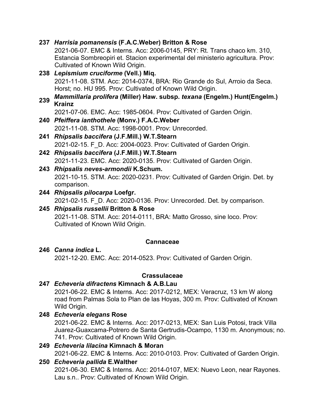|     | 237 Harrisia pomanensis (F.A.C.Weber) Britton & Rose                            |
|-----|---------------------------------------------------------------------------------|
|     | 2021-06-07. EMC & Interns. Acc: 2006-0145, PRY: Rt. Trans chaco km. 310,        |
|     | Estancia Sombreopiri et. Stacion experimental del ministerio agricultura. Prov: |
|     | Cultivated of Known Wild Origin.                                                |
|     | 238 Lepismium cruciforme (Vell.) Miq.                                           |
|     | 2021-11-08. STM. Acc: 2014-0374, BRA: Rio Grande do Sul, Arroio da Seca.        |
|     | Horst; no. HU 995. Prov: Cultivated of Known Wild Origin.                       |
| 239 | Mammillaria prolifera (Miller) Haw. subsp. texana (Engelm.) Hunt(Engelm.)       |
|     | <b>Krainz</b>                                                                   |
|     | 2021-07-06. EMC. Acc: 1985-0604. Prov: Cultivated of Garden Origin.             |
|     | 240 Pfeiffera ianthothele (Monv.) F.A.C.Weber                                   |
|     | 2021-11-08, STM, Acc: 1998-0001, Prov: Unrecorded.                              |
| 241 | Rhipsalis baccifera (J.F.Mill.) W.T.Stearn                                      |
|     | 2021-02-15. F D. Acc: 2004-0023. Prov: Cultivated of Garden Origin.             |
|     | 242 Rhipsalis baccifera (J.F.Mill.) W.T.Stearn                                  |
|     | 2021-11-23. EMC. Acc: 2020-0135. Prov: Cultivated of Garden Origin.             |
|     | 243 Rhipsalis neves-armondii K.Schum.                                           |
|     | 2021-10-15. STM. Acc: 2020-0231. Prov: Cultivated of Garden Origin. Det. by     |
|     | comparison.                                                                     |
|     | 244 Rhipsalis pilocarpa Loefgr.                                                 |
|     | 2021-02-15. F D. Acc: 2020-0136. Prov: Unrecorded. Det. by comparison.          |
|     | 245 Rhipsalis russellii Britton & Rose                                          |

2021-11-08. STM. Acc: 2014-0111, BRA: Matto Grosso, sine loco. Prov: Cultivated of Known Wild Origin.

#### **Cannaceae**

# **246** *Canna indica* **L.**

2021-12-20. EMC. Acc: 2014-0523. Prov: Cultivated of Garden Origin.

#### **Crassulaceae**

#### **247** *Echeveria difractens* **Kimnach & A.B.Lau**

2021-06-22. EMC & Interns. Acc: 2017-0212, MEX: Veracruz, 13 km W along road from Palmas Sola to Plan de las Hoyas, 300 m. Prov: Cultivated of Known Wild Origin.

#### **248** *Echeveria elegans* **Rose**

2021-06-22. EMC & Interns. Acc: 2017-0213, MEX: San Luis Potosi, track Villa Juarez-Guaxcama-Potrero de Santa Gertrudis-Ocampo, 1130 m. Anonymous; no. 741. Prov: Cultivated of Known Wild Origin.

## **249** *Echeveria lilacina* **Kimnach & Moran**

2021-06-22. EMC & Interns. Acc: 2010-0103. Prov: Cultivated of Garden Origin.

#### **250** *Echeveria pallida* **E.Walther**

2021-06-30. EMC & Interns. Acc: 2014-0107, MEX: Nuevo Leon, near Rayones. Lau s.n.. Prov: Cultivated of Known Wild Origin.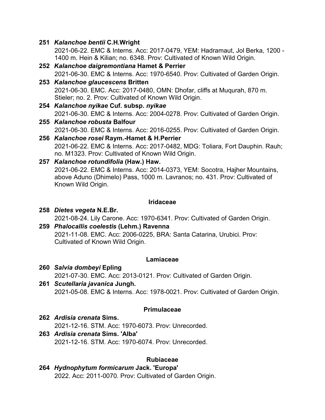#### **251** *Kalanchoe bentii* **C.H.Wright**

2021-06-22. EMC & Interns. Acc: 2017-0479, YEM: Hadramaut, Jol Berka, 1200 - 1400 m. Hein & Kilian; no. 6348. Prov: Cultivated of Known Wild Origin.

- **252** *Kalanchoe daigremontiana* **Hamet & Perrier** 2021-06-30. EMC & Interns. Acc: 1970-6540. Prov: Cultivated of Garden Origin.
- **253** *Kalanchoe glaucescens* **Britten** 2021-06-30. EMC. Acc: 2017-0480, OMN: Dhofar, cliffs at Muqurah, 870 m. Stieler; no. 2. Prov: Cultivated of Known Wild Origin.
- **254** *Kalanchoe nyikae* **Cuf. subsp.** *nyikae* 2021-06-30. EMC & Interns. Acc: 2004-0278. Prov: Cultivated of Garden Origin.
- **255** *Kalanchoe robusta* **Balfour** 2021-06-30. EMC & Interns. Acc: 2016-0255. Prov: Cultivated of Garden Origin.
- **256** *Kalanchoe rosei* **Raym.-Hamet & H.Perrier** 2021-06-22. EMC & Interns. Acc: 2017-0482, MDG: Toliara, Fort Dauphin. Rauh; no. M1323. Prov: Cultivated of Known Wild Origin.

#### **257** *Kalanchoe rotundifolia* **(Haw.) Haw.**

2021-06-22. EMC & Interns. Acc: 2014-0373, YEM: Socotra, Hajher Mountains, above Aduno (Dhimelo) Pass, 1000 m. Lavranos; no. 431. Prov: Cultivated of Known Wild Origin.

#### **Iridaceae**

- **258** *Dietes vegeta* **N.E.Br.** 2021-08-24. Lily Carone. Acc: 1970-6341. Prov: Cultivated of Garden Origin.
- **259** *Phalocallis coelestis* **(Lehm.) Ravenna** 2021-11-08. EMC. Acc: 2006-0225, BRA: Santa Catarina, Urubici. Prov: Cultivated of Known Wild Origin.

#### **Lamiaceae**

- **260** *Salvia dombeyi* **Epling** 2021-07-30. EMC. Acc: 2013-0121. Prov: Cultivated of Garden Origin.
- **261** *Scutellaria javanica* **Jungh.** 2021-05-08. EMC & Interns. Acc: 1978-0021. Prov: Cultivated of Garden Origin.

#### **Primulaceae**

**262** *Ardisia crenata* **Sims.**

2021-12-16. STM. Acc: 1970-6073. Prov: Unrecorded.

**263** *Ardisia crenata* **Sims. 'Alba'** 2021-12-16. STM. Acc: 1970-6074. Prov: Unrecorded.

#### **Rubiaceae**

**264** *Hydnophytum formicarum* **Jack. 'Europa'** 2022. Acc: 2011-0070. Prov: Cultivated of Garden Origin.